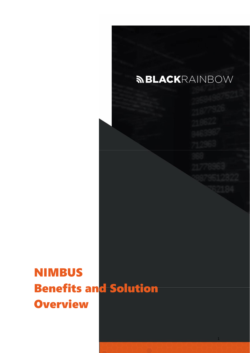

1

NIMBUS Benefits and Solution **Overview**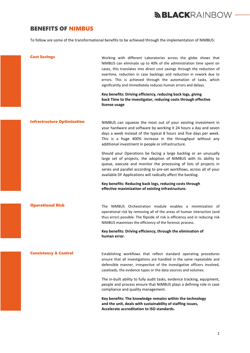## *MBLACKRAINBOW* —

### BENEFITS OF NIMBUS

To follow are some of the transformational benefits to be achieved through the implementation of NIMBUS:

| <b>Cost Savings</b>                | Working with different Laboratories across the globe shows that<br>NIMBUS can eliminate up to 40% of the administration time spent on<br>cases, this translates into direct cost savings through the reduction of<br>overtime, reduction in case backlogs and reduction in rework due to<br>errors. This is achieved through the automation of tasks, which<br>significantly and immediately reduces human errors and delays. |
|------------------------------------|-------------------------------------------------------------------------------------------------------------------------------------------------------------------------------------------------------------------------------------------------------------------------------------------------------------------------------------------------------------------------------------------------------------------------------|
|                                    | Key benefits: Driving efficiency, reducing back logs, giving<br>back Time to the investigator, reducing costs through effective<br>license usage                                                                                                                                                                                                                                                                              |
| <b>Infrastructure Optimization</b> | NIMBUS can squeeze the most out of your existing investment in<br>your hardware and software by working it 24 hours a day and seven<br>days a week instead of the typical 8 hours and five days per week.<br>This is a huge 400% increase in the throughput without any<br>additional investment in people or infrastructure.                                                                                                 |
|                                    | Should your Operations be facing a large backlog or an unusually<br>large set of projects, the adoption of NIMBUS with its ability to<br>queue, execute and monitor the processing of lists of projects in<br>series and parallel according to pre-set workflows, across all of your<br>available DF Applications will radically affect the backlog.                                                                          |
|                                    | Key benefits: Reducing back logs, reducing costs through<br>effective maximization of existing infrastructure.                                                                                                                                                                                                                                                                                                                |
| <b>Operational Risk</b>            | The NIMBUS Orchestration module enables a minimization of<br>operational risk by removing all of the areas of human interaction (and<br>thus error) possible. The flipside of risk is efficiency and in reducing risk<br>NIMBUS maximizes the efficiency of the forensic process.                                                                                                                                             |
|                                    | Key benefits: Driving efficiency, through the elimination of<br>human error.                                                                                                                                                                                                                                                                                                                                                  |
| <b>Consistency &amp; Control</b>   | Establishing workflows that reflect standard operating procedures<br>ensure that all investigations are handled in the same repeatable and<br>defensible manner, irrespective of the investigative officers involved,<br>caseloads, the evidence types or the data sources and volumes.                                                                                                                                       |
|                                    | The in-built ability to fully audit tasks, evidence tracking, equipment,<br>people and process ensure that NIMBUS plays a defining role in case<br>compliance and quality management.                                                                                                                                                                                                                                         |
|                                    | Key benefits: The knowledge remains within the technology<br>and the unit, deals with sustainability of staffing issues,<br>Accelerate accreditation to ISO standards.                                                                                                                                                                                                                                                        |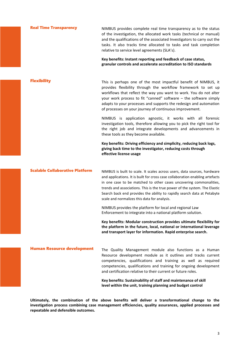| <b>Real Time Transparency</b>          | NIMBUS provides complete real time transparency as to the status<br>of the investigation, the allocated work tasks (technical or manual)<br>and the qualifications of the associated Investigators to carry out the<br>tasks. It also tracks time allocated to tasks and task completion<br>relative to service level agreements (SLA's).<br>Key benefits: Instant reporting and feedback of case status,                                |
|----------------------------------------|------------------------------------------------------------------------------------------------------------------------------------------------------------------------------------------------------------------------------------------------------------------------------------------------------------------------------------------------------------------------------------------------------------------------------------------|
|                                        | granular controls and accelerate accreditation to ISO standards                                                                                                                                                                                                                                                                                                                                                                          |
| <b>Flexibility</b>                     | This is perhaps one of the most impactful benefit of NIMBUS, it<br>provides flexibility through the workflow framework to set up<br>workflows that reflect the way you want to work. You do not alter<br>your work process to fit "canned" software - the software simply<br>adapts to your processes and supports the redesign and automation<br>of processes on your journey of continuous improvement.                                |
|                                        | NIMBUS is application agnostic, it works with all forensic<br>investigation tools, therefore allowing you to pick the right tool for<br>the right job and integrate developments and advancements in<br>these tools as they become available.                                                                                                                                                                                            |
|                                        | Key benefits: Driving efficiency and simplicity, reducing back logs,<br>giving back time to the investigator, reducing costs through<br>effective license usage                                                                                                                                                                                                                                                                          |
| <b>Scalable Collaborative Platform</b> | NIMBUS is built to scale. It scales across users, data sources, hardware<br>and applications. It is built for cross case collaboration enabling artefacts<br>in one case to be matched to other cases uncovering commonalities,<br>trends and associations. This is the true power of the system. The Elastic<br>Search back end provides the ability to rapidly search data at Petabyte<br>scale and normalizes this data for analysis. |
|                                        | NIMBUS provides the platform for local and regional Law<br>Enforcement to integrate into a national platform solution.                                                                                                                                                                                                                                                                                                                   |
|                                        | Key benefits: Modular construction provides ultimate flexibility for<br>the platform in the future, local, national or international leverage<br>and transport layer for information. Rapid enterprise search.                                                                                                                                                                                                                           |
| <b>Human Resource development</b>      | The Quality Management module also functions as a Human<br>Resource development module as it outlines and tracks current<br>competencies, qualifications and training as well as required<br>competencies, qualifications and training for ongoing development<br>and certification relative to their current or future roles.                                                                                                           |
|                                        | Key benefits: Sustainability of staff and maintenance of skill                                                                                                                                                                                                                                                                                                                                                                           |

**Ultimately, the combination of the above benefits will deliver a transformational change to the investigation process combining case management efficiencies, quality assurances, applied processes and repeatable and defensible outcomes.**

**level within the unit, training planning and budget control**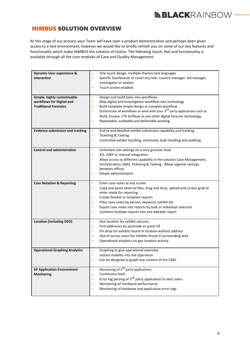## *MBLACKRAINBOW -*

### NIMBUS SOLUTION OVERVIEW

At this stage of our process your Team will have seen a product demonstration and perhaps been given access to a test environment, however we would like to briefly refresh you on some of our key features and functionality which make NIMBUS the solution of choice. The following touch, feel and functionality is available through all the core modules of Case and Quality Management.

| <b>Dynamic User experience &amp;</b><br>interaction                                      | One touch design, multiple themes and languages<br>$\bullet$<br>Specific Dashboards to cover any role: country manager, lab manager,<br>$\bullet$<br>investigator or analyst<br>Touch screen enabled<br>٠                                                                                                                                                                                                                             |
|------------------------------------------------------------------------------------------|---------------------------------------------------------------------------------------------------------------------------------------------------------------------------------------------------------------------------------------------------------------------------------------------------------------------------------------------------------------------------------------------------------------------------------------|
| Simple, highly customisable<br>workflows for Digital and<br><b>Traditional Forensics</b> | Design and build tasks into workflows<br>$\bullet$<br>Map digital and investigation workflow into technology<br>$\bullet$<br>Build template simple design or complex workflow<br>$\bullet$<br>Orchestrate all workflows to work with your 3 <sup>rd</sup> party applications such as<br>$\bullet$<br>NUIX, Encase, FTK Griffeye or any other digital forensic technology<br>Repeatable, auditable and defensible working<br>$\bullet$ |
| <b>Evidence submission and tracking</b>                                                  | $\bullet$<br>End to end detailed exhibit submission capability and tracking<br>$\bullet$<br>Ticketing & Tasking<br>Controlled exhibit handling, continuity, bulk handling and auditing<br>$\bullet$                                                                                                                                                                                                                                   |
| <b>Control and administration</b>                                                        | Unlimited role settings on a very granular level<br>$\bullet$<br>AD, LDAP or manual integration<br>$\bullet$<br>Allow access to different capability in the solution Case Management,<br>$\bullet$<br>Orchestration, QMS, Ticketing & Tasking - Allow regional settings<br>between offices<br>Simple administration<br>$\bullet$                                                                                                      |
| <b>Case Notation &amp; Reporting</b>                                                     | Enter case notes at any screen<br>$\bullet$<br>Copy and paste external files, drag and drop, upload and screen grab to<br>$\bullet$<br>enter ready for reporting<br>Create flexible or template reports<br>$\bullet$<br>Filter case notes by person, keyword, exhibit etc<br>$\bullet$<br>Export case notes into reports by bulk or individual selection<br>$\bullet$<br>Combine multiple reports into one editable report<br>٠       |
| <b>Location (including GEO)</b>                                                          | Geo location for exhibit seizures<br>$\bullet$<br>Find addresses by postcode or quick ref<br>$\bullet$<br>Pin drop for exhibits found in location without address<br>$\bullet$<br>Search across cases for exhibits found in surrounding area<br>$\bullet$<br>Operational analytics on geo location activity<br>$\bullet$                                                                                                              |
| <b>Operational Graphing Analytics</b>                                                    | Graphing to give operational overview<br>$\bullet$<br>Instant visibility into the Operation<br>$\bullet$<br>Can be designed to graph any content of the CMO                                                                                                                                                                                                                                                                           |
| <b>DF Application Environment</b><br><b>Monitoring</b>                                   | Monitoring of 3 <sup>rd</sup> party applications<br>$\bullet$<br>Continuous feed<br>$\bullet$<br>Error log parsing of 3 <sup>rd</sup> party application to alert users<br>$\bullet$<br>Monitoring of Hardware performance<br>٠<br>Monitoring of hardware and application error logs<br>$\bullet$                                                                                                                                      |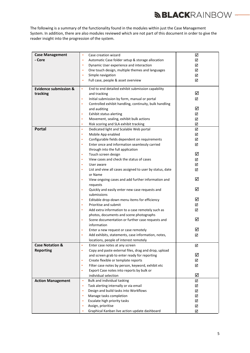# *MBLACKRAINBOW —*

The following is a summary of the functionality found in the modules within just the Case Management System. In addition, there are also modules reviewed which are not part of this document in order to give the reader insight into the progression of the system.

| <b>Case Management</b>           | Case creation wizard<br>$\bullet$                                            | ☑      |
|----------------------------------|------------------------------------------------------------------------------|--------|
| - Core                           | Automatic Case folder setup & storage allocation<br>$\bullet$                | ☑      |
|                                  | Dynamic User experience and interaction<br>$\bullet$                         | ☑      |
|                                  | One touch design, multiple themes and languages<br>$\bullet$                 | ☑      |
|                                  | Simple navigation<br>$\bullet$                                               | ☑      |
|                                  | Full case, people & asset overview<br>$\bullet$                              | ☑      |
| <b>Evidence submission &amp;</b> | End to end detailed exhibit submission capability<br>$\bullet$               |        |
| tracking                         | and tracking                                                                 | ☑      |
|                                  | Initial submission by form, manual or portal<br>$\bullet$                    | ☑      |
|                                  | Controlled exhibit handling, continuity, bulk handling<br>$\bullet$          |        |
|                                  | and auditing                                                                 | ☑      |
|                                  | Exhibit status alerting<br>$\bullet$                                         | ☑      |
|                                  | Movement, sealing, exhibit bulk actions<br>$\bullet$                         | ☑      |
|                                  | Risk scoring and SLA exhibit tracking<br>$\bullet$                           | ☑      |
| <b>Portal</b>                    | $\bullet$<br>Dedicated light and Scalable Web portal                         | ☑      |
|                                  | Mobile App enabled<br>$\bullet$                                              | ☑      |
|                                  | Configurable fields dependent on requirements<br>$\bullet$                   | ☑      |
|                                  | Enter once and information seamlessly carried<br>$\bullet$                   | ☑      |
|                                  | through into the full application                                            | ☑      |
|                                  | Touch screen design<br>$\bullet$<br>View cases and check the status of cases |        |
|                                  | $\bullet$<br>User aware<br>$\bullet$                                         | ☑<br>☑ |
|                                  | List and view all cases assigned to user by status, date<br>$\bullet$        | ☑      |
|                                  | or Name                                                                      |        |
|                                  | View ongoing cases and add further information and<br>$\bullet$              | ☑      |
|                                  | requests                                                                     |        |
|                                  | Quickly and easily enter new case requests and<br>$\bullet$                  | ☑      |
|                                  | submissions                                                                  |        |
|                                  | Editable drop-down menu items for efficiency<br>$\bullet$                    | ☑      |
|                                  | Prioritise and submit<br>$\bullet$                                           | ☑      |
|                                  | Add extra information to a case remotely such as<br>$\bullet$                | ☑      |
|                                  | photos, documents and scene photographs                                      |        |
|                                  | Scene documentation or further case requests and<br>$\bullet$                | ☑      |
|                                  | information<br>Enter a new request or case remotely                          | ☑      |
|                                  | Add exhibits, statements, case information, notes,                           | ☑      |
|                                  | locations, people of interest remotely                                       |        |
| <b>Case Notation &amp;</b>       | $\bullet$<br>Enter case notes at any screen                                  | ☑      |
| <b>Reporting</b>                 | Copy and paste external files, drag and drop, upload<br>$\bullet$            |        |
|                                  | and screen grab to enter ready for reporting                                 | ☑      |
|                                  | Create flexible or template reports<br>$\bullet$                             | ☑      |
|                                  | Filter case notes by person, keyword, exhibit etc<br>$\bullet$               | ☑      |
|                                  | Export Case notes into reports by bulk or<br>$\bullet$                       |        |
|                                  | individual selection                                                         | ☑      |
| <b>Action Management</b>         | $\bullet$<br>Bulk and individual tasking                                     | ☑      |
|                                  | Task alerting internally or via email<br>$\bullet$                           | ☑      |
|                                  | Design and build tasks into Workflows<br>٠                                   | ☑      |
|                                  | Manage tasks completion<br>٠                                                 | ☑      |
|                                  | Escalate high priority tasks<br>٠                                            | ☑      |
|                                  | Assign, prioritise<br>٠                                                      | ☑      |
|                                  | Graphical Kanban live action update dashboard<br>٠                           | ☑      |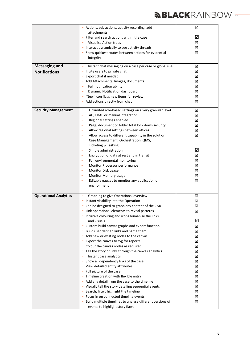# **BLACK**RAINBOW —

|                              | • Actions, sub actions, activity recording, add                                              | ☑      |
|------------------------------|----------------------------------------------------------------------------------------------|--------|
|                              | attachments                                                                                  | ☑      |
|                              | • Filter and search actions within the case<br>Visualise Action trees                        | ☑      |
|                              | • Interact dynamically to see activity threads                                               | ☑      |
|                              | • Show quickest routes between actions for evidential                                        | ☑      |
|                              | integrity                                                                                    |        |
| <b>Messaging and</b>         | Instant chat messaging on a case per case or global use<br>$\bullet$                         | ☑      |
| <b>Notifications</b>         | Invite users to private chat                                                                 | ☑      |
|                              | • Export chat if needed                                                                      | ☑      |
|                              | • Add Attachments, Images, documents                                                         | ☑      |
|                              | Full notification ability<br>٠<br>Dynamic Notification dashboard<br>$\bullet$                | ☑      |
|                              | • 'New' icon flags new items for review                                                      | ☑<br>☑ |
|                              | • Add actions directly from chat                                                             | ☑      |
|                              |                                                                                              |        |
| <b>Security Management</b>   | Unlimited role-based settings on a very granular level<br>٠                                  | ☑      |
|                              | AD, LDAP or manual integration<br>$\bullet$                                                  | ☑      |
|                              | Regional settings enabled<br>$\bullet$                                                       | ☑      |
|                              | Page, document or folder total lock down security                                            | ☑      |
|                              | Allow regional settings between offices                                                      | ☑      |
|                              | Allow access to different capability in the solution<br>Case Management, Orchestration, QMS, | ☑      |
|                              | Ticketing & Tasking                                                                          |        |
|                              | Simple administration<br>$\bullet$                                                           | ☑      |
|                              | Encryption of data at rest and in transit                                                    | ☑      |
|                              | Full environmental monitoring<br>٠                                                           | ☑      |
|                              | Monitor Processor performance<br>٠                                                           | ☑      |
|                              | Monitor Disk usage<br>٠                                                                      | ☑      |
|                              | Monitor Memory usage<br>٠                                                                    | ☑      |
|                              | Editable gauges to monitor any application or<br>٠                                           | ☑      |
|                              | environment                                                                                  |        |
| <b>Operational Analytics</b> | Graphing to give Operational overview<br>$\bullet$                                           | ☑      |
|                              | • Instant visability into the Operation                                                      | ☑      |
|                              | • Can be designed to graph any content of the CMO                                            | ☑      |
|                              | Link operational elements to reveal patterns                                                 | ☑      |
|                              | • Intuitive colouring and icons humanise the links                                           |        |
|                              | and visuals<br>• Custom build canvas graphs and export function                              | ☑<br>☑ |
|                              | Build user defined links and name them                                                       | ☑      |
|                              | • Add new or existing nodes to the canvas                                                    | ☑      |
|                              | • Export the canvas to svg for reports                                                       | ☑      |
|                              | • Colour the canvas nodes as required                                                        | ☑      |
|                              | • Tell the story of links through the canvas analytics                                       | ☑      |
|                              | Instant case analytics                                                                       | ☑      |
|                              | • Show all dependency links of the case                                                      | ☑      |
|                              | • View detailed entity attributes                                                            | ☑      |
|                              | • Full picture of the case                                                                   | ☑      |
|                              | • Timeline creation with flexible entry<br>• Add any detail from the case to the timeline    | ☑      |
|                              | • Visually tell the story detailing sequential events                                        | ☑<br>☑ |
|                              | • Search, filter, highlight the timeline                                                     | ☑      |
|                              | • Focus in on connected timeline events                                                      | ☑      |
|                              | • Build multiple timelines to analyse different versions of                                  | ☑      |
|                              | events to highlight story flaws                                                              |        |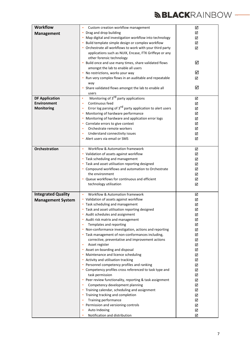# **BLACK**RAINBOW —

| <b>Workflow</b>           | Custom creation workflow management<br>٠                                   | ☑ |
|---------------------------|----------------------------------------------------------------------------|---|
| <b>Management</b>         | Drag and drop building<br>٠                                                | ☑ |
|                           | • Map digital and investigation workflow into technology                   | ☑ |
|                           | • Build template simple design or complex workflow                         | ☑ |
|                           | • Orchestrate all workflows to work with your third party                  | ☑ |
|                           | applications such as NUIX, Encase, FTK Griffeye or any                     |   |
|                           | other forensic technology                                                  |   |
|                           | • Build once and use many times, share validated flows                     | ☑ |
|                           | amongst the lab to enable all users                                        |   |
|                           | • No restrictions, works your way                                          | ☑ |
|                           | • Run very complex flows in an auditable and repeatable                    | ☑ |
|                           | way                                                                        |   |
|                           | • Share validated flows amongst the lab to enable all                      | ☑ |
|                           | users                                                                      |   |
| <b>DF Application</b>     | Monitoring of 3 <sup>rd</sup> party applications<br>$\bullet$              | ☑ |
| <b>Environment</b>        | Continuous feed<br>$\bullet$                                               | ☑ |
| <b>Monitoring</b>         | Error log parsing of 3 <sup>rd</sup> party application to alert users<br>٠ | ☑ |
|                           | • Monitoring of hardware performance                                       | ☑ |
|                           | • Monitoring of hardware and application error logs                        | ☑ |
|                           | • Correlate errors to give context                                         | ☑ |
|                           | Orchestrate remote workers<br>$\bullet$                                    | ☑ |
|                           | Understand connectivity issues<br>٠                                        | ☑ |
|                           | • Alert users via email or SMS                                             | ☑ |
|                           |                                                                            |   |
| <b>Orchestration</b>      | Workflow & Automation framework<br>$\bullet$                               | ☑ |
|                           | • Validation of assets against workflow                                    | ☑ |
|                           | • Task scheduling and management                                           | ☑ |
|                           | • Task and asset utilisation reporting designed                            | ☑ |
|                           | • Compound workflows and automation to Orchestrate                         | ☑ |
|                           | the environment                                                            | ☑ |
|                           | • Queue workflows for continuous and efficient                             | ☑ |
|                           | technology utilisation                                                     | ☑ |
|                           |                                                                            |   |
| <b>Integrated Quality</b> | Workflow & Automation framework<br>$\bullet$                               | ☑ |
| <b>Management System</b>  | • Validation of assets against workflow                                    | ☑ |
|                           | • Task scheduling and management                                           | ☑ |
|                           | • Task and asset utilisation reporting designed                            | ☑ |
|                           | • Audit schedules and assignment                                           | ☑ |
|                           | • Audit risk matrix and management                                         | ☑ |
|                           | Templates and reporting                                                    | ☑ |
|                           | • Non-conformance investigation, actions and reporting                     | ☑ |
|                           | • Task management of non-conformances including,                           | ☑ |
|                           | corrective, preventative and improvement actions                           | ☑ |
|                           | Asset register<br>٠                                                        | ☑ |
|                           | • Asset on-boarding and disposal                                           | ☑ |
|                           | • Maintenance and licence scheduling                                       | ☑ |
|                           | • Activity and utilisation tracking                                        | ☑ |
|                           | • Personnel competency profiles and ranking                                | ☑ |
|                           | • Competency profiles cross referenced to task type and                    | ☑ |
|                           | task permission                                                            | ☑ |
|                           | • Peer review functionality, reporting & task assignment                   | ☑ |
|                           |                                                                            |   |
|                           | Competency development planning                                            | ☑ |
|                           | • Training calendar, scheduling and assignment                             | ☑ |
|                           | • Training tracking and completion                                         | ☑ |
|                           | Training performance                                                       | ☑ |
|                           | • Permission and versioning controls                                       | ☑ |
|                           | Auto Indexing<br>٠<br>Notification and distribution                        | ☑ |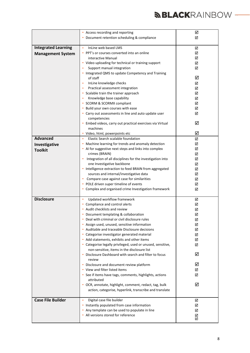|                            | • Access recording and reporting                                     | ☑ |
|----------------------------|----------------------------------------------------------------------|---|
|                            | • Document retention scheduling & compliance                         | ☑ |
| <b>Integrated Learning</b> | InLine web based LMS<br>$\bullet$                                    | ☑ |
| <b>Management System</b>   | • PPT's or courses converted into an online                          | ☑ |
|                            | interactive Manual                                                   | ☑ |
|                            | • Video uploading for technical or training support                  | ☑ |
|                            | Support manual integration                                           | ☑ |
|                            | • Integrated QMS to update Competency and Training                   |   |
|                            | of staff                                                             | ☑ |
|                            | InLine knowledge checks<br>$\bullet$                                 | ☑ |
|                            | Practical assessment integration<br>$\bullet$                        | ☑ |
|                            | • Scalable train the trainer approach                                | ☑ |
|                            | Knowledge base capability                                            | ☑ |
|                            | • SCORM & SCORMX compliant                                           | ☑ |
|                            | • Build your own courses with ease                                   | ☑ |
|                            | • Carry out assessments in line and auto update user<br>competencies | ☑ |
|                            | • Embed videos, carry out practical exercises via Virtual            | ☑ |
|                            | machines                                                             |   |
|                            | • Video, html, powerpoints etc                                       | ☑ |
| <b>Advanced</b>            | Elastic Search scalable foundation<br>$\bullet$                      | ☑ |
| Investigative              | Machine learning for trends and anomaly detection                    | ☑ |
| <b>Toolkit</b>             | • AI for suggestive next steps and links into complex                | ☑ |
|                            | crimes (BRAIN)                                                       | ☑ |
|                            | Integration of all disciplines for the investigation into<br>٠       | ☑ |
|                            | one Investigative backbone                                           | ☑ |
|                            | • Intelligence extraction to feed BRAIN from aggregated              | ☑ |
|                            | sources and internal/investigative data                              | ☑ |
|                            | Compare case against case for similarities<br>٠                      | ☑ |
|                            | • POLE driven super timeline of events                               | ☑ |
|                            | • Complex and organised crime Investigation framework                | ☑ |
| <b>Disclosure</b>          | Updated workflow framework<br>$\bullet$                              | ☑ |
|                            | • Compliance and control alerts                                      | ☑ |
|                            | Audit checklists and review                                          | ☑ |
|                            | Document templating & collaboration                                  | ☑ |
|                            | Deal with criminal or civil disclosure rules                         | ☑ |
|                            | • Assign used, unused, sensitive information                         | ☑ |
|                            | • Auditable and traceable Disclosure decisions                       | ☑ |
|                            | • Categorise investigator generated material                         | ☑ |
|                            | • Add statements, exhibits and other items                           | ☑ |
|                            | • Categorise legally privileged, used or unused, sensitive,          | ☑ |
|                            | non-sensitive, items in the disclosure list                          |   |
|                            | • Disclosure Dashboard with search and filter to focus<br>review     | ☑ |
|                            | • Disclosure and document review platform                            | ☑ |
|                            | • View and filter listed items                                       | ☑ |
|                            | • See if items have tags, comments, highlights, actions              | ☑ |
|                            | attributed                                                           |   |
|                            | • OCR, annotate, highlight, comment, redact, tag, bulk               | ☑ |
|                            | action, categorise, hyperlink, transcribe and translate              |   |
| <b>Case File Builder</b>   | Digital case file builder<br>$\bullet$                               | ☑ |
|                            | • Instantly populated from case information                          | ☑ |
|                            | • Any template can be used to populate in line                       | ☑ |
|                            | • All versions stored for reference                                  | ☑ |
|                            |                                                                      | ☑ |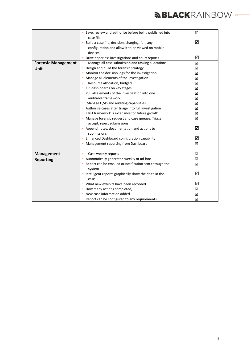|                            | • Save, review and authorise before being published into<br>case file | ☑ |
|----------------------------|-----------------------------------------------------------------------|---|
|                            | • Build a case file, decision, charging, full, any                    | ☑ |
|                            | configuration and allow it to be viewed on mobile                     |   |
|                            | devices                                                               |   |
|                            | • Drive paperless investigations and court reports                    | ☑ |
| <b>Forensic Management</b> | Manage all case submission and tasking allocations<br>$\bullet$       | ☑ |
| Unit                       | Design and build the forensic strategy<br>٠                           | ☑ |
|                            | • Monitor the decision logs for the investigation                     | ☑ |
|                            | Manage all elements of the investigation                              | ☑ |
|                            | Resource allocation, budgets                                          | ☑ |
|                            | • KPI dash boards on key stages                                       | ☑ |
|                            | • Pull all elements of the investigation into one                     | ☑ |
|                            | auditable framework                                                   | ☑ |
|                            | Manage QMS and auditing capabilities<br>٠                             | ☑ |
|                            | • Authorise cases after triage into full investigation                | ☑ |
|                            | • FMU framework is extensible for future growth                       | ☑ |
|                            | • Manage forensic request and case queues, Triage,                    | ☑ |
|                            | accept, reject submissions                                            |   |
|                            | • Append notes, documentation and actions to                          | ☑ |
|                            | submissions                                                           |   |
|                            | • Enhanced Dashboard configuration capability                         | ☑ |
|                            | • Management reporting from Dashboard                                 | ☑ |
|                            |                                                                       |   |
| Management                 | Case weekly reports<br>$\bullet$                                      | ☑ |
| <b>Reporting</b>           | • Automatically generated weekly or ad-hoc                            | ☑ |
|                            | • Report can be emailed or notification sent through the              | ☑ |
|                            | system                                                                |   |
|                            | • Intelligent reports graphically show the delta in the<br>case       | ☑ |
|                            | • What new exhibits have been recorded                                | ☑ |
|                            | • How many actions completed,                                         | ☑ |
|                            | New case information added                                            | ☑ |
|                            | • Report can be configured to any requirements                        | ☑ |